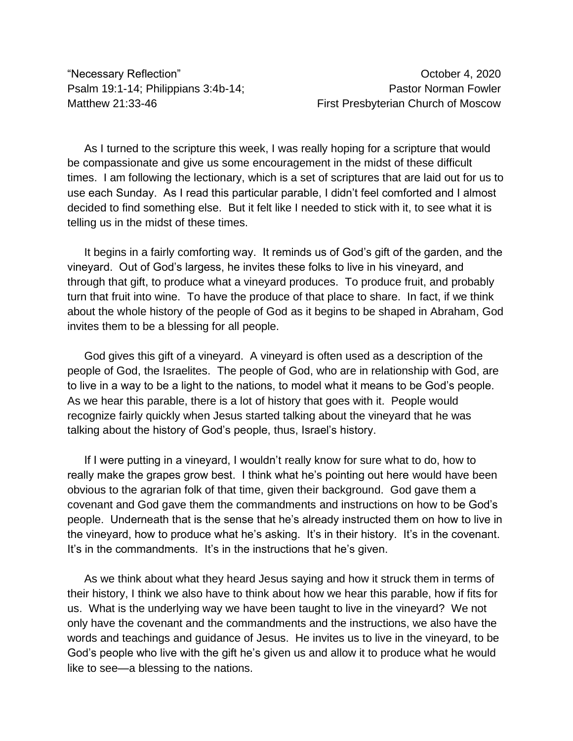"Necessary Reflection" October 4, 2020

Psalm 19:1-14; Philippians 3:4b-14; Philippians 3:4b-14; Pastor Norman Fowler Matthew 21:33-46 **First Presbyterian Church of Moscow** 

As I turned to the scripture this week, I was really hoping for a scripture that would be compassionate and give us some encouragement in the midst of these difficult times. I am following the lectionary, which is a set of scriptures that are laid out for us to use each Sunday. As I read this particular parable, I didn't feel comforted and I almost decided to find something else. But it felt like I needed to stick with it, to see what it is telling us in the midst of these times.

It begins in a fairly comforting way. It reminds us of God's gift of the garden, and the vineyard. Out of God's largess, he invites these folks to live in his vineyard, and through that gift, to produce what a vineyard produces. To produce fruit, and probably turn that fruit into wine. To have the produce of that place to share. In fact, if we think about the whole history of the people of God as it begins to be shaped in Abraham, God invites them to be a blessing for all people.

God gives this gift of a vineyard. A vineyard is often used as a description of the people of God, the Israelites. The people of God, who are in relationship with God, are to live in a way to be a light to the nations, to model what it means to be God's people. As we hear this parable, there is a lot of history that goes with it. People would recognize fairly quickly when Jesus started talking about the vineyard that he was talking about the history of God's people, thus, Israel's history.

If I were putting in a vineyard, I wouldn't really know for sure what to do, how to really make the grapes grow best. I think what he's pointing out here would have been obvious to the agrarian folk of that time, given their background. God gave them a covenant and God gave them the commandments and instructions on how to be God's people. Underneath that is the sense that he's already instructed them on how to live in the vineyard, how to produce what he's asking. It's in their history. It's in the covenant. It's in the commandments. It's in the instructions that he's given.

As we think about what they heard Jesus saying and how it struck them in terms of their history, I think we also have to think about how we hear this parable, how if fits for us. What is the underlying way we have been taught to live in the vineyard? We not only have the covenant and the commandments and the instructions, we also have the words and teachings and guidance of Jesus. He invites us to live in the vineyard, to be God's people who live with the gift he's given us and allow it to produce what he would like to see—a blessing to the nations.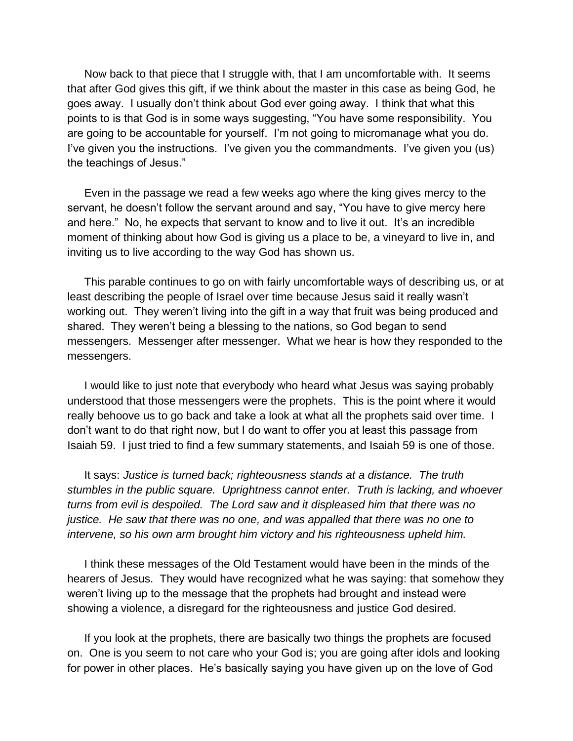Now back to that piece that I struggle with, that I am uncomfortable with. It seems that after God gives this gift, if we think about the master in this case as being God, he goes away. I usually don't think about God ever going away. I think that what this points to is that God is in some ways suggesting, "You have some responsibility. You are going to be accountable for yourself. I'm not going to micromanage what you do. I've given you the instructions. I've given you the commandments. I've given you (us) the teachings of Jesus."

Even in the passage we read a few weeks ago where the king gives mercy to the servant, he doesn't follow the servant around and say, "You have to give mercy here and here." No, he expects that servant to know and to live it out. It's an incredible moment of thinking about how God is giving us a place to be, a vineyard to live in, and inviting us to live according to the way God has shown us.

This parable continues to go on with fairly uncomfortable ways of describing us, or at least describing the people of Israel over time because Jesus said it really wasn't working out. They weren't living into the gift in a way that fruit was being produced and shared. They weren't being a blessing to the nations, so God began to send messengers. Messenger after messenger. What we hear is how they responded to the messengers.

I would like to just note that everybody who heard what Jesus was saying probably understood that those messengers were the prophets. This is the point where it would really behoove us to go back and take a look at what all the prophets said over time. I don't want to do that right now, but I do want to offer you at least this passage from Isaiah 59. I just tried to find a few summary statements, and Isaiah 59 is one of those.

It says: *Justice is turned back; righteousness stands at a distance. The truth stumbles in the public square. Uprightness cannot enter. Truth is lacking, and whoever turns from evil is despoiled. The Lord saw and it displeased him that there was no justice. He saw that there was no one, and was appalled that there was no one to intervene, so his own arm brought him victory and his righteousness upheld him.*

I think these messages of the Old Testament would have been in the minds of the hearers of Jesus. They would have recognized what he was saying: that somehow they weren't living up to the message that the prophets had brought and instead were showing a violence, a disregard for the righteousness and justice God desired.

If you look at the prophets, there are basically two things the prophets are focused on. One is you seem to not care who your God is; you are going after idols and looking for power in other places. He's basically saying you have given up on the love of God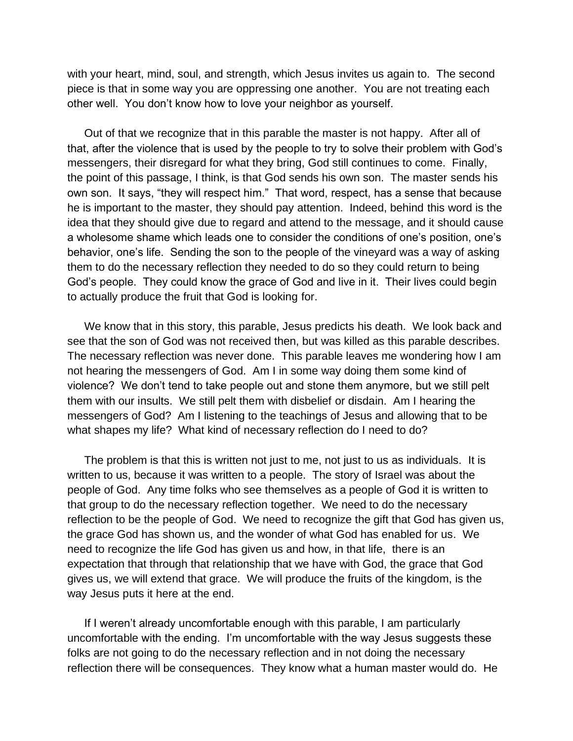with your heart, mind, soul, and strength, which Jesus invites us again to. The second piece is that in some way you are oppressing one another. You are not treating each other well. You don't know how to love your neighbor as yourself.

Out of that we recognize that in this parable the master is not happy. After all of that, after the violence that is used by the people to try to solve their problem with God's messengers, their disregard for what they bring, God still continues to come. Finally, the point of this passage, I think, is that God sends his own son. The master sends his own son. It says, "they will respect him." That word, respect, has a sense that because he is important to the master, they should pay attention. Indeed, behind this word is the idea that they should give due to regard and attend to the message, and it should cause a wholesome shame which leads one to consider the conditions of one's position, one's behavior, one's life. Sending the son to the people of the vineyard was a way of asking them to do the necessary reflection they needed to do so they could return to being God's people. They could know the grace of God and live in it. Their lives could begin to actually produce the fruit that God is looking for.

We know that in this story, this parable, Jesus predicts his death. We look back and see that the son of God was not received then, but was killed as this parable describes. The necessary reflection was never done. This parable leaves me wondering how I am not hearing the messengers of God. Am I in some way doing them some kind of violence? We don't tend to take people out and stone them anymore, but we still pelt them with our insults. We still pelt them with disbelief or disdain. Am I hearing the messengers of God? Am I listening to the teachings of Jesus and allowing that to be what shapes my life? What kind of necessary reflection do I need to do?

The problem is that this is written not just to me, not just to us as individuals. It is written to us, because it was written to a people. The story of Israel was about the people of God. Any time folks who see themselves as a people of God it is written to that group to do the necessary reflection together. We need to do the necessary reflection to be the people of God. We need to recognize the gift that God has given us, the grace God has shown us, and the wonder of what God has enabled for us. We need to recognize the life God has given us and how, in that life, there is an expectation that through that relationship that we have with God, the grace that God gives us, we will extend that grace. We will produce the fruits of the kingdom, is the way Jesus puts it here at the end.

If I weren't already uncomfortable enough with this parable, I am particularly uncomfortable with the ending. I'm uncomfortable with the way Jesus suggests these folks are not going to do the necessary reflection and in not doing the necessary reflection there will be consequences. They know what a human master would do. He